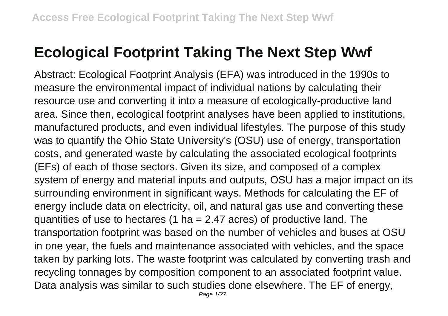## **Ecological Footprint Taking The Next Step Wwf**

Abstract: Ecological Footprint Analysis (EFA) was introduced in the 1990s to measure the environmental impact of individual nations by calculating their resource use and converting it into a measure of ecologically-productive land area. Since then, ecological footprint analyses have been applied to institutions, manufactured products, and even individual lifestyles. The purpose of this study was to quantify the Ohio State University's (OSU) use of energy, transportation costs, and generated waste by calculating the associated ecological footprints (EFs) of each of those sectors. Given its size, and composed of a complex system of energy and material inputs and outputs, OSU has a major impact on its surrounding environment in significant ways. Methods for calculating the EF of energy include data on electricity, oil, and natural gas use and converting these quantities of use to hectares (1 ha  $= 2.47$  acres) of productive land. The transportation footprint was based on the number of vehicles and buses at OSU in one year, the fuels and maintenance associated with vehicles, and the space taken by parking lots. The waste footprint was calculated by converting trash and recycling tonnages by composition component to an associated footprint value. Data analysis was similar to such studies done elsewhere. The EF of energy,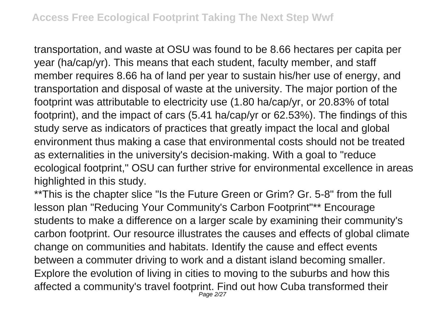transportation, and waste at OSU was found to be 8.66 hectares per capita per year (ha/cap/yr). This means that each student, faculty member, and staff member requires 8.66 ha of land per year to sustain his/her use of energy, and transportation and disposal of waste at the university. The major portion of the footprint was attributable to electricity use (1.80 ha/cap/yr, or 20.83% of total footprint), and the impact of cars (5.41 ha/cap/yr or 62.53%). The findings of this study serve as indicators of practices that greatly impact the local and global environment thus making a case that environmental costs should not be treated as externalities in the university's decision-making. With a goal to "reduce ecological footprint," OSU can further strive for environmental excellence in areas highlighted in this study.

\*\*This is the chapter slice "Is the Future Green or Grim? Gr. 5-8" from the full lesson plan "Reducing Your Community's Carbon Footprint"\*\* Encourage students to make a difference on a larger scale by examining their community's carbon footprint. Our resource illustrates the causes and effects of global climate change on communities and habitats. Identify the cause and effect events between a commuter driving to work and a distant island becoming smaller. Explore the evolution of living in cities to moving to the suburbs and how this affected a community's travel footprint. Find out how Cuba transformed their Page 2/27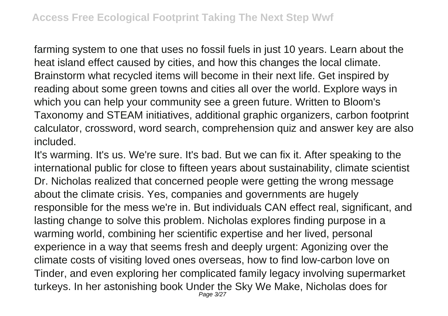farming system to one that uses no fossil fuels in just 10 years. Learn about the heat island effect caused by cities, and how this changes the local climate. Brainstorm what recycled items will become in their next life. Get inspired by reading about some green towns and cities all over the world. Explore ways in which you can help your community see a green future. Written to Bloom's Taxonomy and STEAM initiatives, additional graphic organizers, carbon footprint calculator, crossword, word search, comprehension quiz and answer key are also included.

It's warming. It's us. We're sure. It's bad. But we can fix it. After speaking to the international public for close to fifteen years about sustainability, climate scientist Dr. Nicholas realized that concerned people were getting the wrong message about the climate crisis. Yes, companies and governments are hugely responsible for the mess we're in. But individuals CAN effect real, significant, and lasting change to solve this problem. Nicholas explores finding purpose in a warming world, combining her scientific expertise and her lived, personal experience in a way that seems fresh and deeply urgent: Agonizing over the climate costs of visiting loved ones overseas, how to find low-carbon love on Tinder, and even exploring her complicated family legacy involving supermarket turkeys. In her astonishing book Under the Sky We Make, Nicholas does for Page 3/27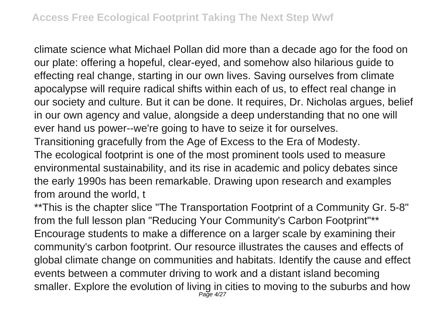climate science what Michael Pollan did more than a decade ago for the food on our plate: offering a hopeful, clear-eyed, and somehow also hilarious guide to effecting real change, starting in our own lives. Saving ourselves from climate apocalypse will require radical shifts within each of us, to effect real change in our society and culture. But it can be done. It requires, Dr. Nicholas argues, belief in our own agency and value, alongside a deep understanding that no one will ever hand us power--we're going to have to seize it for ourselves. Transitioning gracefully from the Age of Excess to the Era of Modesty. The ecological footprint is one of the most prominent tools used to measure environmental sustainability, and its rise in academic and policy debates since the early 1990s has been remarkable. Drawing upon research and examples from around the world, t

\*\*This is the chapter slice "The Transportation Footprint of a Community Gr. 5-8" from the full lesson plan "Reducing Your Community's Carbon Footprint"\*\* Encourage students to make a difference on a larger scale by examining their community's carbon footprint. Our resource illustrates the causes and effects of global climate change on communities and habitats. Identify the cause and effect events between a commuter driving to work and a distant island becoming smaller. Explore the evolution of living in cities to moving to the suburbs and how Page 4/27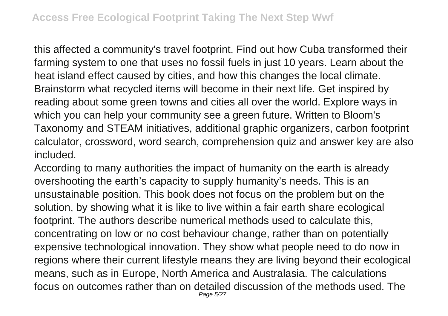this affected a community's travel footprint. Find out how Cuba transformed their farming system to one that uses no fossil fuels in just 10 years. Learn about the heat island effect caused by cities, and how this changes the local climate. Brainstorm what recycled items will become in their next life. Get inspired by reading about some green towns and cities all over the world. Explore ways in which you can help your community see a green future. Written to Bloom's Taxonomy and STEAM initiatives, additional graphic organizers, carbon footprint calculator, crossword, word search, comprehension quiz and answer key are also included.

According to many authorities the impact of humanity on the earth is already overshooting the earth's capacity to supply humanity's needs. This is an unsustainable position. This book does not focus on the problem but on the solution, by showing what it is like to live within a fair earth share ecological footprint. The authors describe numerical methods used to calculate this, concentrating on low or no cost behaviour change, rather than on potentially expensive technological innovation. They show what people need to do now in regions where their current lifestyle means they are living beyond their ecological means, such as in Europe, North America and Australasia. The calculations focus on outcomes rather than on detailed discussion of the methods used. The Page 5/27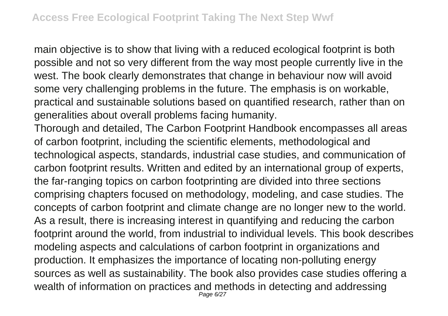main objective is to show that living with a reduced ecological footprint is both possible and not so very different from the way most people currently live in the west. The book clearly demonstrates that change in behaviour now will avoid some very challenging problems in the future. The emphasis is on workable, practical and sustainable solutions based on quantified research, rather than on generalities about overall problems facing humanity.

Thorough and detailed, The Carbon Footprint Handbook encompasses all areas of carbon footprint, including the scientific elements, methodological and technological aspects, standards, industrial case studies, and communication of carbon footprint results. Written and edited by an international group of experts, the far-ranging topics on carbon footprinting are divided into three sections comprising chapters focused on methodology, modeling, and case studies. The concepts of carbon footprint and climate change are no longer new to the world. As a result, there is increasing interest in quantifying and reducing the carbon footprint around the world, from industrial to individual levels. This book describes modeling aspects and calculations of carbon footprint in organizations and production. It emphasizes the importance of locating non-polluting energy sources as well as sustainability. The book also provides case studies offering a wealth of information on practices and methods in detecting and addressing Page 6/27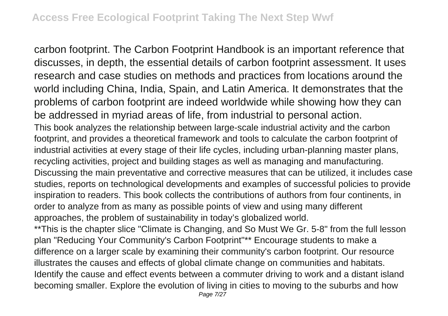carbon footprint. The Carbon Footprint Handbook is an important reference that discusses, in depth, the essential details of carbon footprint assessment. It uses research and case studies on methods and practices from locations around the world including China, India, Spain, and Latin America. It demonstrates that the problems of carbon footprint are indeed worldwide while showing how they can be addressed in myriad areas of life, from industrial to personal action. This book analyzes the relationship between large-scale industrial activity and the carbon footprint, and provides a theoretical framework and tools to calculate the carbon footprint of industrial activities at every stage of their life cycles, including urban-planning master plans, recycling activities, project and building stages as well as managing and manufacturing. Discussing the main preventative and corrective measures that can be utilized, it includes case studies, reports on technological developments and examples of successful policies to provide inspiration to readers. This book collects the contributions of authors from four continents, in order to analyze from as many as possible points of view and using many different approaches, the problem of sustainability in today's globalized world.

\*\*This is the chapter slice "Climate is Changing, and So Must We Gr. 5-8" from the full lesson plan "Reducing Your Community's Carbon Footprint"\*\* Encourage students to make a difference on a larger scale by examining their community's carbon footprint. Our resource illustrates the causes and effects of global climate change on communities and habitats. Identify the cause and effect events between a commuter driving to work and a distant island becoming smaller. Explore the evolution of living in cities to moving to the suburbs and how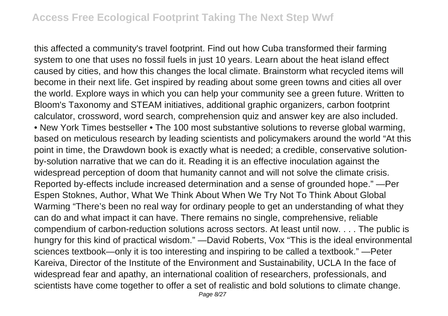this affected a community's travel footprint. Find out how Cuba transformed their farming system to one that uses no fossil fuels in just 10 years. Learn about the heat island effect caused by cities, and how this changes the local climate. Brainstorm what recycled items will become in their next life. Get inspired by reading about some green towns and cities all over the world. Explore ways in which you can help your community see a green future. Written to Bloom's Taxonomy and STEAM initiatives, additional graphic organizers, carbon footprint calculator, crossword, word search, comprehension quiz and answer key are also included. • New York Times bestseller • The 100 most substantive solutions to reverse global warming, based on meticulous research by leading scientists and policymakers around the world "At this point in time, the Drawdown book is exactly what is needed; a credible, conservative solutionby-solution narrative that we can do it. Reading it is an effective inoculation against the widespread perception of doom that humanity cannot and will not solve the climate crisis. Reported by-effects include increased determination and a sense of grounded hope." —Per Espen Stoknes, Author, What We Think About When We Try Not To Think About Global Warming "There's been no real way for ordinary people to get an understanding of what they can do and what impact it can have. There remains no single, comprehensive, reliable compendium of carbon-reduction solutions across sectors. At least until now. . . . The public is hungry for this kind of practical wisdom." —David Roberts, Vox "This is the ideal environmental sciences textbook—only it is too interesting and inspiring to be called a textbook." —Peter Kareiva, Director of the Institute of the Environment and Sustainability, UCLA In the face of widespread fear and apathy, an international coalition of researchers, professionals, and scientists have come together to offer a set of realistic and bold solutions to climate change.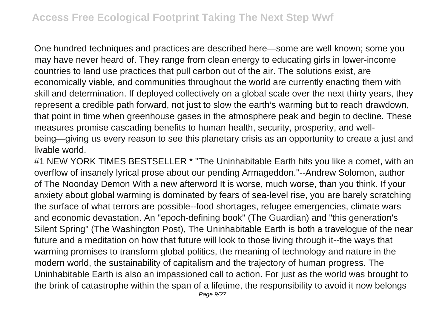One hundred techniques and practices are described here—some are well known; some you may have never heard of. They range from clean energy to educating girls in lower-income countries to land use practices that pull carbon out of the air. The solutions exist, are economically viable, and communities throughout the world are currently enacting them with skill and determination. If deployed collectively on a global scale over the next thirty years, they represent a credible path forward, not just to slow the earth's warming but to reach drawdown, that point in time when greenhouse gases in the atmosphere peak and begin to decline. These measures promise cascading benefits to human health, security, prosperity, and wellbeing—giving us every reason to see this planetary crisis as an opportunity to create a just and livable world.

#1 NEW YORK TIMES BESTSELLER \* "The Uninhabitable Earth hits you like a comet, with an overflow of insanely lyrical prose about our pending Armageddon."--Andrew Solomon, author of The Noonday Demon With a new afterword It is worse, much worse, than you think. If your anxiety about global warming is dominated by fears of sea-level rise, you are barely scratching the surface of what terrors are possible--food shortages, refugee emergencies, climate wars and economic devastation. An "epoch-defining book" (The Guardian) and "this generation's Silent Spring" (The Washington Post), The Uninhabitable Earth is both a travelogue of the near future and a meditation on how that future will look to those living through it--the ways that warming promises to transform global politics, the meaning of technology and nature in the modern world, the sustainability of capitalism and the trajectory of human progress. The Uninhabitable Earth is also an impassioned call to action. For just as the world was brought to the brink of catastrophe within the span of a lifetime, the responsibility to avoid it now belongs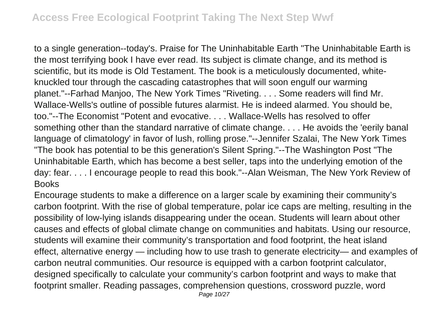to a single generation--today's. Praise for The Uninhabitable Earth "The Uninhabitable Earth is the most terrifying book I have ever read. Its subject is climate change, and its method is scientific, but its mode is Old Testament. The book is a meticulously documented, whiteknuckled tour through the cascading catastrophes that will soon engulf our warming planet."--Farhad Manjoo, The New York Times "Riveting. . . . Some readers will find Mr. Wallace-Wells's outline of possible futures alarmist. He is indeed alarmed. You should be, too."--The Economist "Potent and evocative. . . . Wallace-Wells has resolved to offer something other than the standard narrative of climate change. . . . He avoids the 'eerily banal language of climatology' in favor of lush, rolling prose."--Jennifer Szalai, The New York Times "The book has potential to be this generation's Silent Spring."--The Washington Post "The Uninhabitable Earth, which has become a best seller, taps into the underlying emotion of the day: fear. . . . I encourage people to read this book."--Alan Weisman, The New York Review of **Books** 

Encourage students to make a difference on a larger scale by examining their community's carbon footprint. With the rise of global temperature, polar ice caps are melting, resulting in the possibility of low-lying islands disappearing under the ocean. Students will learn about other causes and effects of global climate change on communities and habitats. Using our resource, students will examine their community's transportation and food footprint, the heat island effect, alternative energy — including how to use trash to generate electricity— and examples of carbon neutral communities. Our resource is equipped with a carbon footprint calculator, designed specifically to calculate your community's carbon footprint and ways to make that footprint smaller. Reading passages, comprehension questions, crossword puzzle, word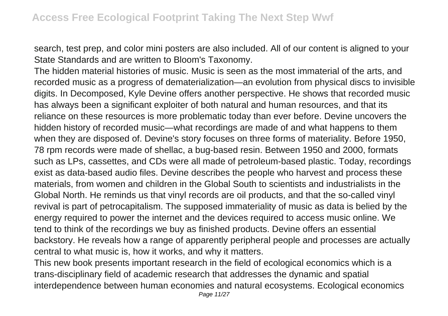search, test prep, and color mini posters are also included. All of our content is aligned to your State Standards and are written to Bloom's Taxonomy.

The hidden material histories of music. Music is seen as the most immaterial of the arts, and recorded music as a progress of dematerialization—an evolution from physical discs to invisible digits. In Decomposed, Kyle Devine offers another perspective. He shows that recorded music has always been a significant exploiter of both natural and human resources, and that its reliance on these resources is more problematic today than ever before. Devine uncovers the hidden history of recorded music—what recordings are made of and what happens to them when they are disposed of. Devine's story focuses on three forms of materiality. Before 1950, 78 rpm records were made of shellac, a bug-based resin. Between 1950 and 2000, formats such as LPs, cassettes, and CDs were all made of petroleum-based plastic. Today, recordings exist as data-based audio files. Devine describes the people who harvest and process these materials, from women and children in the Global South to scientists and industrialists in the Global North. He reminds us that vinyl records are oil products, and that the so-called vinyl revival is part of petrocapitalism. The supposed immateriality of music as data is belied by the energy required to power the internet and the devices required to access music online. We tend to think of the recordings we buy as finished products. Devine offers an essential backstory. He reveals how a range of apparently peripheral people and processes are actually central to what music is, how it works, and why it matters.

This new book presents important research in the field of ecological economics which is a trans-disciplinary field of academic research that addresses the dynamic and spatial interdependence between human economies and natural ecosystems. Ecological economics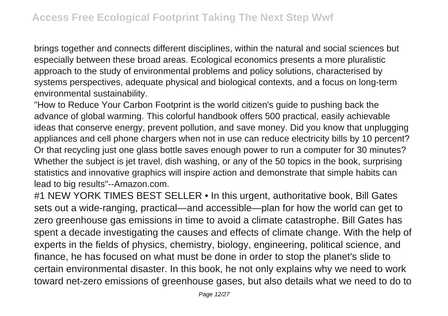brings together and connects different disciplines, within the natural and social sciences but especially between these broad areas. Ecological economics presents a more pluralistic approach to the study of environmental problems and policy solutions, characterised by systems perspectives, adequate physical and biological contexts, and a focus on long-term environmental sustainability.

"How to Reduce Your Carbon Footprint is the world citizen's guide to pushing back the advance of global warming. This colorful handbook offers 500 practical, easily achievable ideas that conserve energy, prevent pollution, and save money. Did you know that unplugging appliances and cell phone chargers when not in use can reduce electricity bills by 10 percent? Or that recycling just one glass bottle saves enough power to run a computer for 30 minutes? Whether the subject is jet travel, dish washing, or any of the 50 topics in the book, surprising statistics and innovative graphics will inspire action and demonstrate that simple habits can lead to big results"--Amazon.com.

#1 NEW YORK TIMES BEST SELLER • In this urgent, authoritative book, Bill Gates sets out a wide-ranging, practical—and accessible—plan for how the world can get to zero greenhouse gas emissions in time to avoid a climate catastrophe. Bill Gates has spent a decade investigating the causes and effects of climate change. With the help of experts in the fields of physics, chemistry, biology, engineering, political science, and finance, he has focused on what must be done in order to stop the planet's slide to certain environmental disaster. In this book, he not only explains why we need to work toward net-zero emissions of greenhouse gases, but also details what we need to do to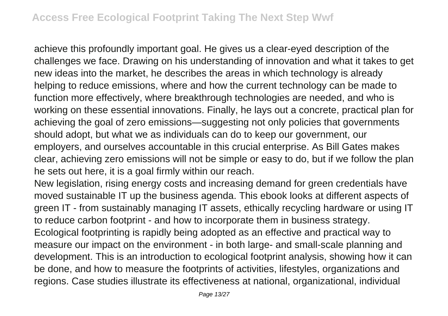achieve this profoundly important goal. He gives us a clear-eyed description of the challenges we face. Drawing on his understanding of innovation and what it takes to get new ideas into the market, he describes the areas in which technology is already helping to reduce emissions, where and how the current technology can be made to function more effectively, where breakthrough technologies are needed, and who is working on these essential innovations. Finally, he lays out a concrete, practical plan for achieving the goal of zero emissions—suggesting not only policies that governments should adopt, but what we as individuals can do to keep our government, our employers, and ourselves accountable in this crucial enterprise. As Bill Gates makes clear, achieving zero emissions will not be simple or easy to do, but if we follow the plan he sets out here, it is a goal firmly within our reach.

New legislation, rising energy costs and increasing demand for green credentials have moved sustainable IT up the business agenda. This ebook looks at different aspects of green IT - from sustainably managing IT assets, ethically recycling hardware or using IT to reduce carbon footprint - and how to incorporate them in business strategy. Ecological footprinting is rapidly being adopted as an effective and practical way to measure our impact on the environment - in both large- and small-scale planning and development. This is an introduction to ecological footprint analysis, showing how it can be done, and how to measure the footprints of activities, lifestyles, organizations and regions. Case studies illustrate its effectiveness at national, organizational, individual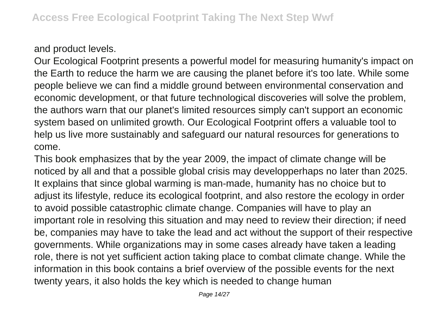and product levels.

Our Ecological Footprint presents a powerful model for measuring humanity's impact on the Earth to reduce the harm we are causing the planet before it's too late. While some people believe we can find a middle ground between environmental conservation and economic development, or that future technological discoveries will solve the problem, the authors warn that our planet's limited resources simply can't support an economic system based on unlimited growth. Our Ecological Footprint offers a valuable tool to help us live more sustainably and safeguard our natural resources for generations to come.

This book emphasizes that by the year 2009, the impact of climate change will be noticed by all and that a possible global crisis may developperhaps no later than 2025. It explains that since global warming is man-made, humanity has no choice but to adjust its lifestyle, reduce its ecological footprint, and also restore the ecology in order to avoid possible catastrophic climate change. Companies will have to play an important role in resolving this situation and may need to review their direction; if need be, companies may have to take the lead and act without the support of their respective governments. While organizations may in some cases already have taken a leading role, there is not yet sufficient action taking place to combat climate change. While the information in this book contains a brief overview of the possible events for the next twenty years, it also holds the key which is needed to change human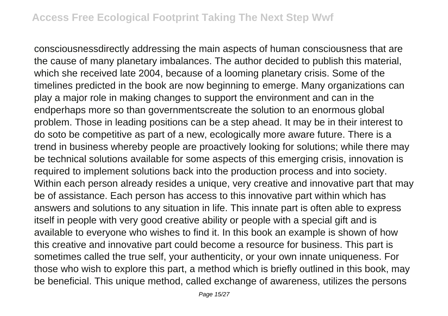consciousnessdirectly addressing the main aspects of human consciousness that are the cause of many planetary imbalances. The author decided to publish this material, which she received late 2004, because of a looming planetary crisis. Some of the timelines predicted in the book are now beginning to emerge. Many organizations can play a major role in making changes to support the environment and can in the endperhaps more so than governmentscreate the solution to an enormous global problem. Those in leading positions can be a step ahead. It may be in their interest to do soto be competitive as part of a new, ecologically more aware future. There is a trend in business whereby people are proactively looking for solutions; while there may be technical solutions available for some aspects of this emerging crisis, innovation is required to implement solutions back into the production process and into society. Within each person already resides a unique, very creative and innovative part that may be of assistance. Each person has access to this innovative part within which has answers and solutions to any situation in life. This innate part is often able to express itself in people with very good creative ability or people with a special gift and is available to everyone who wishes to find it. In this book an example is shown of how this creative and innovative part could become a resource for business. This part is sometimes called the true self, your authenticity, or your own innate uniqueness. For those who wish to explore this part, a method which is briefly outlined in this book, may be beneficial. This unique method, called exchange of awareness, utilizes the persons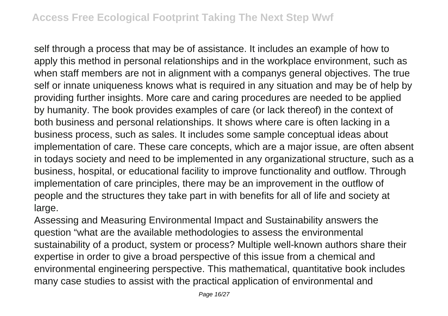self through a process that may be of assistance. It includes an example of how to apply this method in personal relationships and in the workplace environment, such as when staff members are not in alignment with a companys general objectives. The true self or innate uniqueness knows what is required in any situation and may be of help by providing further insights. More care and caring procedures are needed to be applied by humanity. The book provides examples of care (or lack thereof) in the context of both business and personal relationships. It shows where care is often lacking in a business process, such as sales. It includes some sample conceptual ideas about implementation of care. These care concepts, which are a major issue, are often absent in todays society and need to be implemented in any organizational structure, such as a business, hospital, or educational facility to improve functionality and outflow. Through implementation of care principles, there may be an improvement in the outflow of people and the structures they take part in with benefits for all of life and society at large.

Assessing and Measuring Environmental Impact and Sustainability answers the question "what are the available methodologies to assess the environmental sustainability of a product, system or process? Multiple well-known authors share their expertise in order to give a broad perspective of this issue from a chemical and environmental engineering perspective. This mathematical, quantitative book includes many case studies to assist with the practical application of environmental and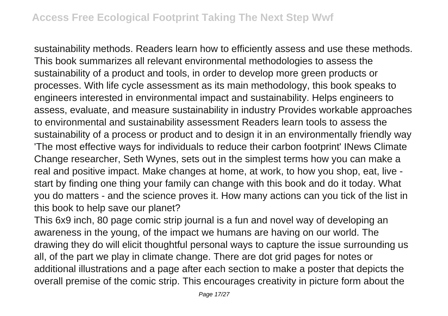sustainability methods. Readers learn how to efficiently assess and use these methods. This book summarizes all relevant environmental methodologies to assess the sustainability of a product and tools, in order to develop more green products or processes. With life cycle assessment as its main methodology, this book speaks to engineers interested in environmental impact and sustainability. Helps engineers to assess, evaluate, and measure sustainability in industry Provides workable approaches to environmental and sustainability assessment Readers learn tools to assess the sustainability of a process or product and to design it in an environmentally friendly way 'The most effective ways for individuals to reduce their carbon footprint' INews Climate Change researcher, Seth Wynes, sets out in the simplest terms how you can make a real and positive impact. Make changes at home, at work, to how you shop, eat, live start by finding one thing your family can change with this book and do it today. What you do matters - and the science proves it. How many actions can you tick of the list in this book to help save our planet?

This 6x9 inch, 80 page comic strip journal is a fun and novel way of developing an awareness in the young, of the impact we humans are having on our world. The drawing they do will elicit thoughtful personal ways to capture the issue surrounding us all, of the part we play in climate change. There are dot grid pages for notes or additional illustrations and a page after each section to make a poster that depicts the overall premise of the comic strip. This encourages creativity in picture form about the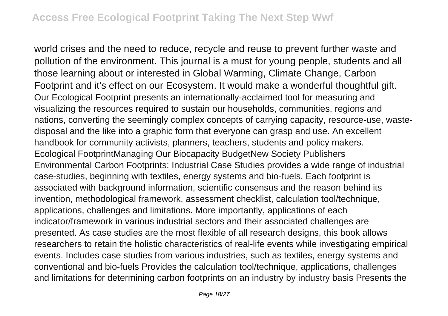world crises and the need to reduce, recycle and reuse to prevent further waste and pollution of the environment. This journal is a must for young people, students and all those learning about or interested in Global Warming, Climate Change, Carbon Footprint and it's effect on our Ecosystem. It would make a wonderful thoughtful gift. Our Ecological Footprint presents an internationally-acclaimed tool for measuring and visualizing the resources required to sustain our households, communities, regions and nations, converting the seemingly complex concepts of carrying capacity, resource-use, wastedisposal and the like into a graphic form that everyone can grasp and use. An excellent handbook for community activists, planners, teachers, students and policy makers. Ecological FootprintManaging Our Biocapacity BudgetNew Society Publishers Environmental Carbon Footprints: Industrial Case Studies provides a wide range of industrial case-studies, beginning with textiles, energy systems and bio-fuels. Each footprint is associated with background information, scientific consensus and the reason behind its invention, methodological framework, assessment checklist, calculation tool/technique, applications, challenges and limitations. More importantly, applications of each indicator/framework in various industrial sectors and their associated challenges are presented. As case studies are the most flexible of all research designs, this book allows researchers to retain the holistic characteristics of real-life events while investigating empirical events. Includes case studies from various industries, such as textiles, energy systems and conventional and bio-fuels Provides the calculation tool/technique, applications, challenges and limitations for determining carbon footprints on an industry by industry basis Presents the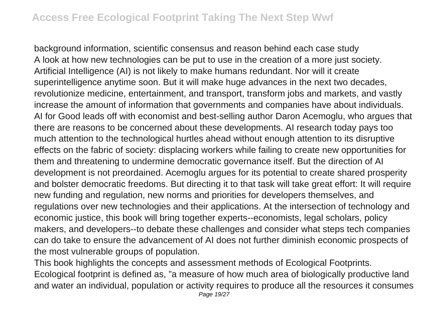background information, scientific consensus and reason behind each case study A look at how new technologies can be put to use in the creation of a more just society. Artificial Intelligence (AI) is not likely to make humans redundant. Nor will it create superintelligence anytime soon. But it will make huge advances in the next two decades, revolutionize medicine, entertainment, and transport, transform jobs and markets, and vastly increase the amount of information that governments and companies have about individuals. AI for Good leads off with economist and best-selling author Daron Acemoglu, who argues that there are reasons to be concerned about these developments. AI research today pays too much attention to the technological hurtles ahead without enough attention to its disruptive effects on the fabric of society: displacing workers while failing to create new opportunities for them and threatening to undermine democratic governance itself. But the direction of AI development is not preordained. Acemoglu argues for its potential to create shared prosperity and bolster democratic freedoms. But directing it to that task will take great effort: It will require new funding and regulation, new norms and priorities for developers themselves, and regulations over new technologies and their applications. At the intersection of technology and economic justice, this book will bring together experts--economists, legal scholars, policy makers, and developers--to debate these challenges and consider what steps tech companies can do take to ensure the advancement of AI does not further diminish economic prospects of the most vulnerable groups of population.

This book highlights the concepts and assessment methods of Ecological Footprints. Ecological footprint is defined as, "a measure of how much area of biologically productive land and water an individual, population or activity requires to produce all the resources it consumes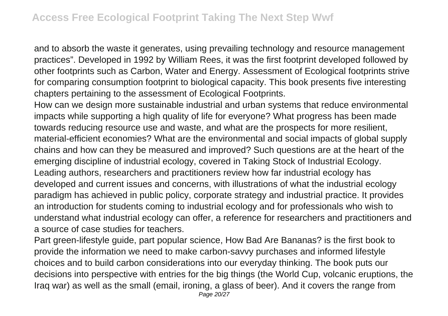and to absorb the waste it generates, using prevailing technology and resource management practices". Developed in 1992 by William Rees, it was the first footprint developed followed by other footprints such as Carbon, Water and Energy. Assessment of Ecological footprints strive for comparing consumption footprint to biological capacity. This book presents five interesting chapters pertaining to the assessment of Ecological Footprints.

How can we design more sustainable industrial and urban systems that reduce environmental impacts while supporting a high quality of life for everyone? What progress has been made towards reducing resource use and waste, and what are the prospects for more resilient, material-efficient economies? What are the environmental and social impacts of global supply chains and how can they be measured and improved? Such questions are at the heart of the emerging discipline of industrial ecology, covered in Taking Stock of Industrial Ecology. Leading authors, researchers and practitioners review how far industrial ecology has developed and current issues and concerns, with illustrations of what the industrial ecology paradigm has achieved in public policy, corporate strategy and industrial practice. It provides an introduction for students coming to industrial ecology and for professionals who wish to understand what industrial ecology can offer, a reference for researchers and practitioners and a source of case studies for teachers.

Part green-lifestyle guide, part popular science, How Bad Are Bananas? is the first book to provide the information we need to make carbon-savvy purchases and informed lifestyle choices and to build carbon considerations into our everyday thinking. The book puts our decisions into perspective with entries for the big things (the World Cup, volcanic eruptions, the Iraq war) as well as the small (email, ironing, a glass of beer). And it covers the range from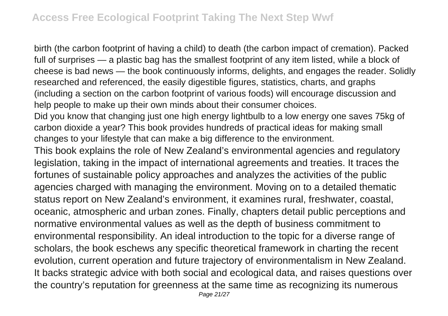birth (the carbon footprint of having a child) to death (the carbon impact of cremation). Packed full of surprises — a plastic bag has the smallest footprint of any item listed, while a block of cheese is bad news — the book continuously informs, delights, and engages the reader. Solidly researched and referenced, the easily digestible figures, statistics, charts, and graphs (including a section on the carbon footprint of various foods) will encourage discussion and help people to make up their own minds about their consumer choices.

Did you know that changing just one high energy lightbulb to a low energy one saves 75kg of carbon dioxide a year? This book provides hundreds of practical ideas for making small changes to your lifestyle that can make a big difference to the environment.

This book explains the role of New Zealand's environmental agencies and regulatory legislation, taking in the impact of international agreements and treaties. It traces the fortunes of sustainable policy approaches and analyzes the activities of the public agencies charged with managing the environment. Moving on to a detailed thematic status report on New Zealand's environment, it examines rural, freshwater, coastal, oceanic, atmospheric and urban zones. Finally, chapters detail public perceptions and normative environmental values as well as the depth of business commitment to environmental responsibility. An ideal introduction to the topic for a diverse range of scholars, the book eschews any specific theoretical framework in charting the recent evolution, current operation and future trajectory of environmentalism in New Zealand. It backs strategic advice with both social and ecological data, and raises questions over the country's reputation for greenness at the same time as recognizing its numerous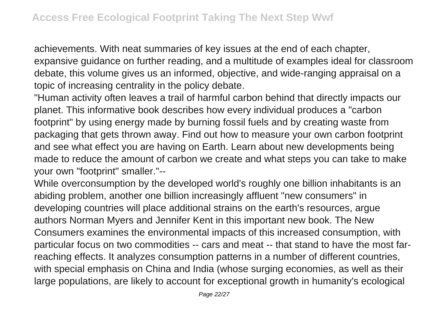achievements. With neat summaries of key issues at the end of each chapter, expansive guidance on further reading, and a multitude of examples ideal for classroom debate, this volume gives us an informed, objective, and wide-ranging appraisal on a topic of increasing centrality in the policy debate.

"Human activity often leaves a trail of harmful carbon behind that directly impacts our planet. This informative book describes how every individual produces a "carbon footprint" by using energy made by burning fossil fuels and by creating waste from packaging that gets thrown away. Find out how to measure your own carbon footprint and see what effect you are having on Earth. Learn about new developments being made to reduce the amount of carbon we create and what steps you can take to make your own "footprint" smaller."--

While overconsumption by the developed world's roughly one billion inhabitants is an abiding problem, another one billion increasingly affluent "new consumers" in developing countries will place additional strains on the earth's resources, argue authors Norman Myers and Jennifer Kent in this important new book. The New Consumers examines the environmental impacts of this increased consumption, with particular focus on two commodities -- cars and meat -- that stand to have the most farreaching effects. It analyzes consumption patterns in a number of different countries, with special emphasis on China and India (whose surging economies, as well as their large populations, are likely to account for exceptional growth in humanity's ecological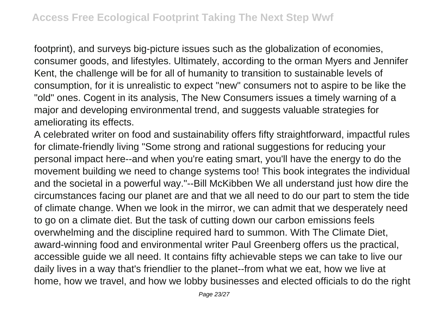footprint), and surveys big-picture issues such as the globalization of economies, consumer goods, and lifestyles. Ultimately, according to the orman Myers and Jennifer Kent, the challenge will be for all of humanity to transition to sustainable levels of consumption, for it is unrealistic to expect "new" consumers not to aspire to be like the "old" ones. Cogent in its analysis, The New Consumers issues a timely warning of a major and developing environmental trend, and suggests valuable strategies for ameliorating its effects.

A celebrated writer on food and sustainability offers fifty straightforward, impactful rules for climate-friendly living "Some strong and rational suggestions for reducing your personal impact here--and when you're eating smart, you'll have the energy to do the movement building we need to change systems too! This book integrates the individual and the societal in a powerful way."--Bill McKibben We all understand just how dire the circumstances facing our planet are and that we all need to do our part to stem the tide of climate change. When we look in the mirror, we can admit that we desperately need to go on a climate diet. But the task of cutting down our carbon emissions feels overwhelming and the discipline required hard to summon. With The Climate Diet, award-winning food and environmental writer Paul Greenberg offers us the practical, accessible guide we all need. It contains fifty achievable steps we can take to live our daily lives in a way that's friendlier to the planet--from what we eat, how we live at home, how we travel, and how we lobby businesses and elected officials to do the right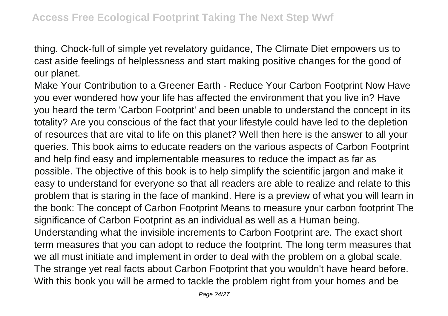thing. Chock-full of simple yet revelatory guidance, The Climate Diet empowers us to cast aside feelings of helplessness and start making positive changes for the good of our planet.

Make Your Contribution to a Greener Earth - Reduce Your Carbon Footprint Now Have you ever wondered how your life has affected the environment that you live in? Have you heard the term 'Carbon Footprint' and been unable to understand the concept in its totality? Are you conscious of the fact that your lifestyle could have led to the depletion of resources that are vital to life on this planet? Well then here is the answer to all your queries. This book aims to educate readers on the various aspects of Carbon Footprint and help find easy and implementable measures to reduce the impact as far as possible. The objective of this book is to help simplify the scientific jargon and make it easy to understand for everyone so that all readers are able to realize and relate to this problem that is staring in the face of mankind. Here is a preview of what you will learn in the book: The concept of Carbon Footprint Means to measure your carbon footprint The significance of Carbon Footprint as an individual as well as a Human being. Understanding what the invisible increments to Carbon Footprint are. The exact short term measures that you can adopt to reduce the footprint. The long term measures that we all must initiate and implement in order to deal with the problem on a global scale. The strange yet real facts about Carbon Footprint that you wouldn't have heard before. With this book you will be armed to tackle the problem right from your homes and be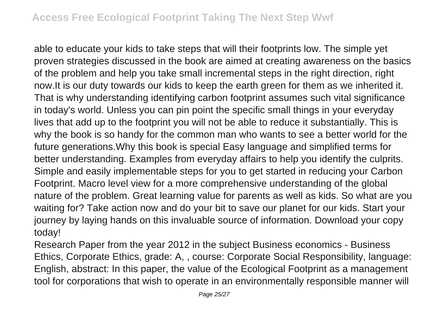able to educate your kids to take steps that will their footprints low. The simple yet proven strategies discussed in the book are aimed at creating awareness on the basics of the problem and help you take small incremental steps in the right direction, right now.It is our duty towards our kids to keep the earth green for them as we inherited it. That is why understanding identifying carbon footprint assumes such vital significance in today's world. Unless you can pin point the specific small things in your everyday lives that add up to the footprint you will not be able to reduce it substantially. This is why the book is so handy for the common man who wants to see a better world for the future generations.Why this book is special Easy language and simplified terms for better understanding. Examples from everyday affairs to help you identify the culprits. Simple and easily implementable steps for you to get started in reducing your Carbon Footprint. Macro level view for a more comprehensive understanding of the global nature of the problem. Great learning value for parents as well as kids. So what are you waiting for? Take action now and do your bit to save our planet for our kids. Start your journey by laying hands on this invaluable source of information. Download your copy today!

Research Paper from the year 2012 in the subject Business economics - Business Ethics, Corporate Ethics, grade: A, , course: Corporate Social Responsibility, language: English, abstract: In this paper, the value of the Ecological Footprint as a management tool for corporations that wish to operate in an environmentally responsible manner will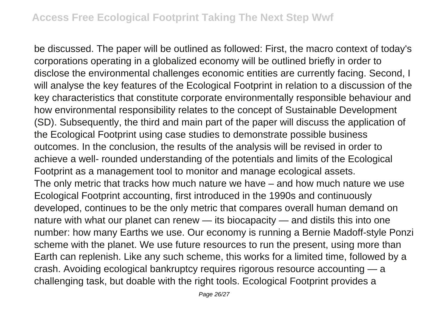be discussed. The paper will be outlined as followed: First, the macro context of today's corporations operating in a globalized economy will be outlined briefly in order to disclose the environmental challenges economic entities are currently facing. Second, I will analyse the key features of the Ecological Footprint in relation to a discussion of the key characteristics that constitute corporate environmentally responsible behaviour and how environmental responsibility relates to the concept of Sustainable Development (SD). Subsequently, the third and main part of the paper will discuss the application of the Ecological Footprint using case studies to demonstrate possible business outcomes. In the conclusion, the results of the analysis will be revised in order to achieve a well- rounded understanding of the potentials and limits of the Ecological Footprint as a management tool to monitor and manage ecological assets. The only metric that tracks how much nature we have – and how much nature we use Ecological Footprint accounting, first introduced in the 1990s and continuously developed, continues to be the only metric that compares overall human demand on nature with what our planet can renew — its biocapacity — and distils this into one number: how many Earths we use. Our economy is running a Bernie Madoff-style Ponzi scheme with the planet. We use future resources to run the present, using more than Earth can replenish. Like any such scheme, this works for a limited time, followed by a crash. Avoiding ecological bankruptcy requires rigorous resource accounting — a challenging task, but doable with the right tools. Ecological Footprint provides a